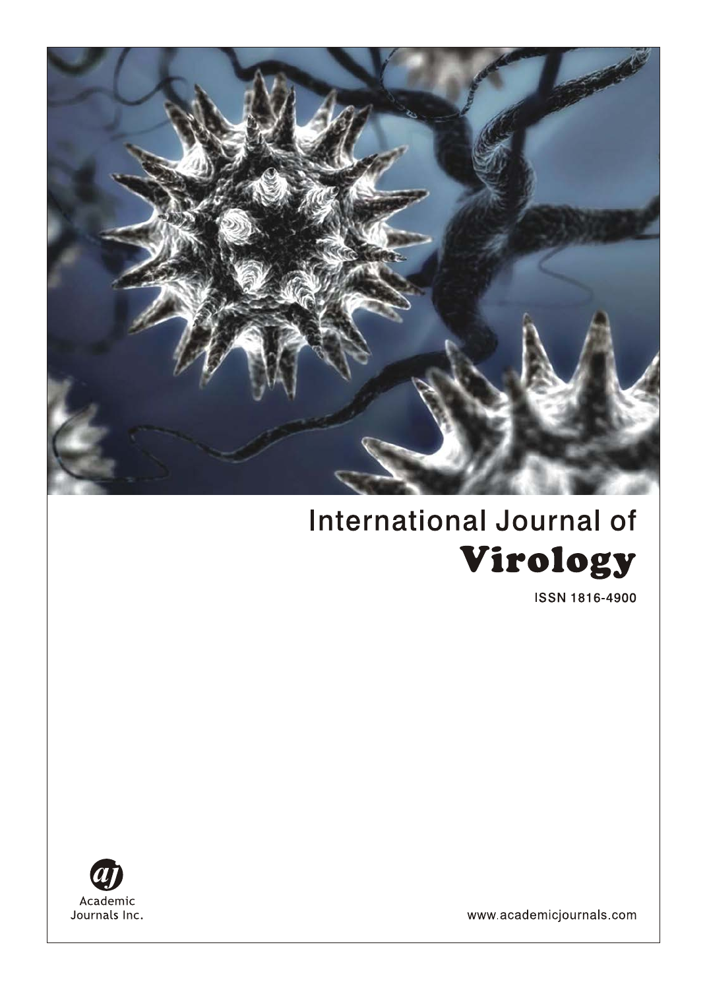

# **International Journal of** Virology

**ISSN 1816-4900** 



www.academicjournals.com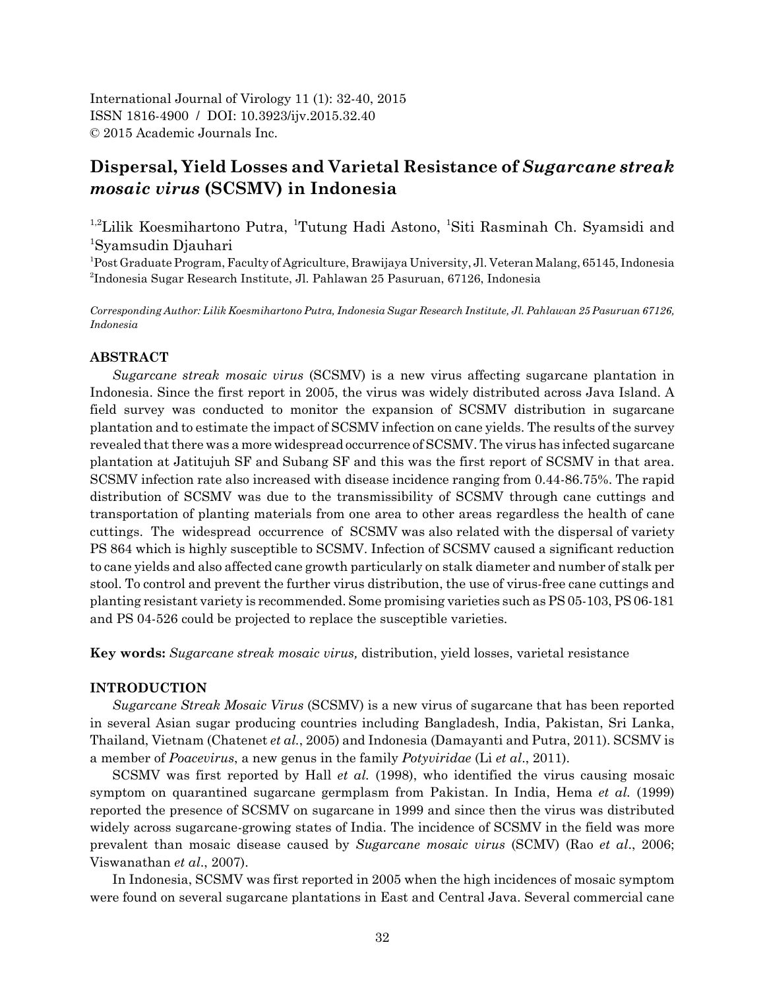International Journal of Virology 11 (1): 32-40, 2015 ISSN 1816-4900 / DOI: 10.3923/ijv.2015.32.40 © 2015 Academic Journals Inc.

# **Dispersal, Yield Losses and Varietal Resistance of** *Sugarcane streak mosaic virus* **(SCSMV) in Indonesia**

<sup>1,2</sup>Lilik Koesmihartono Putra, <sup>1</sup>Tutung Hadi Astono, <sup>1</sup>Siti Rasminah Ch. Syamsidi and 1 Syamsudin Djauhari

1 Post Graduate Program, Faculty of Agriculture, Brawijaya University, Jl. Veteran Malang, 65145, Indonesia 2 Indonesia Sugar Research Institute, Jl. Pahlawan 25 Pasuruan, 67126, Indonesia

*Corresponding Author: Lilik Koesmihartono Putra, Indonesia Sugar Research Institute, Jl. Pahlawan 25 Pasuruan 67126, Indonesia*

# **ABSTRACT**

*Sugarcane streak mosaic virus* (SCSMV) is a new virus affecting sugarcane plantation in Indonesia. Since the first report in 2005, the virus was widely distributed across Java Island. A field survey was conducted to monitor the expansion of SCSMV distribution in sugarcane plantation and to estimate the impact of SCSMV infection on cane yields. The results of the survey revealed that there was a more widespread occurrence of SCSMV. The virus has infected sugarcane plantation at Jatitujuh SF and Subang SF and this was the first report of SCSMV in that area. SCSMV infection rate also increased with disease incidence ranging from 0.44-86.75%. The rapid distribution of SCSMV was due to the transmissibility of SCSMV through cane cuttings and transportation of planting materials from one area to other areas regardless the health of cane cuttings. The widespread occurrence of SCSMV was also related with the dispersal of variety PS 864 which is highly susceptible to SCSMV. Infection of SCSMV caused a significant reduction to cane yields and also affected cane growth particularly on stalk diameter and number of stalk per stool. To control and prevent the further virus distribution, the use of virus-free cane cuttings and planting resistant variety is recommended. Some promising varieties such as PS 05-103, PS 06-181 and PS 04-526 could be projected to replace the susceptible varieties.

**Key words:** *Sugarcane streak mosaic virus,* distribution, yield losses, varietal resistance

## **INTRODUCTION**

*Sugarcane Streak Mosaic Virus* (SCSMV) is a new virus of sugarcane that has been reported in several Asian sugar producing countries including Bangladesh, India, Pakistan, Sri Lanka, Thailand, Vietnam (Chatenet *et al.*, 2005) and Indonesia (Damayanti and Putra, 2011). SCSMV is a member of *Poacevirus*, a new genus in the family *Potyviridae* (Li *et al*., 2011).

SCSMV was first reported by Hall *et al.* (1998), who identified the virus causing mosaic symptom on quarantined sugarcane germplasm from Pakistan. In India, Hema *et al.* (1999) reported the presence of SCSMV on sugarcane in 1999 and since then the virus was distributed widely across sugarcane-growing states of India. The incidence of SCSMV in the field was more prevalent than mosaic disease caused by *Sugarcane mosaic virus* (SCMV) (Rao *et al*., 2006; Viswanathan *et al*., 2007).

In Indonesia, SCSMV was first reported in 2005 when the high incidences of mosaic symptom were found on several sugarcane plantations in East and Central Java. Several commercial cane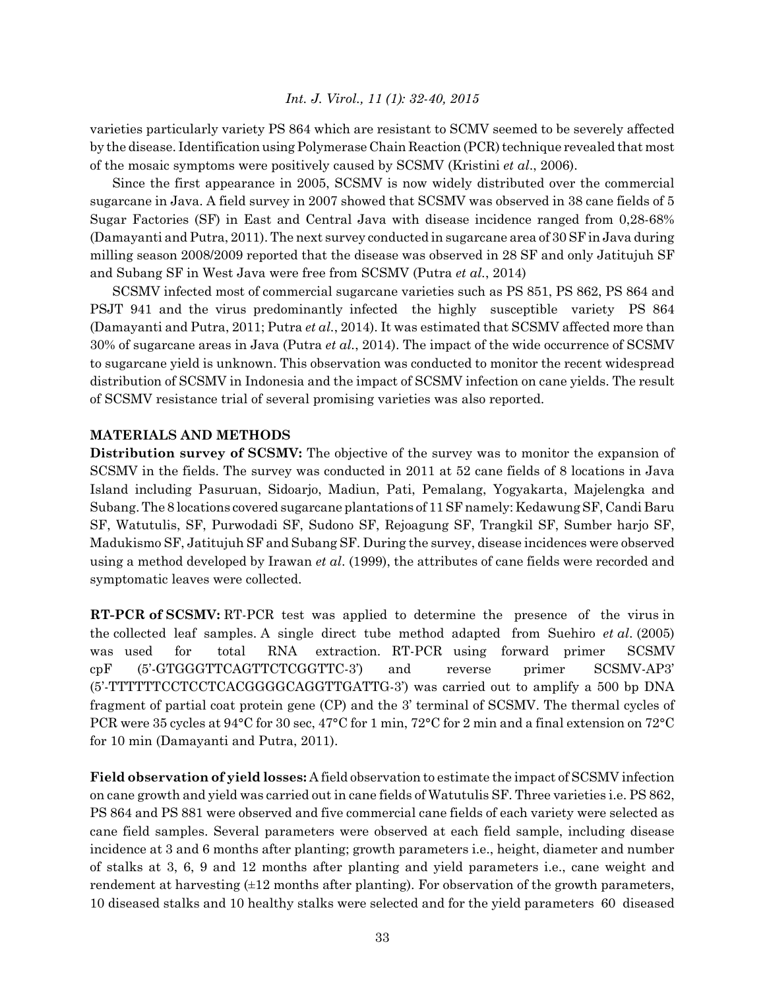varieties particularly variety PS 864 which are resistant to SCMV seemed to be severely affected by the disease. Identification using Polymerase Chain Reaction (PCR) technique revealed that most of the mosaic symptoms were positively caused by SCSMV (Kristini *et al*., 2006).

Since the first appearance in 2005, SCSMV is now widely distributed over the commercial sugarcane in Java. A field survey in 2007 showed that SCSMV was observed in 38 cane fields of 5 Sugar Factories (SF) in East and Central Java with disease incidence ranged from 0,28-68% (Damayanti and Putra, 2011). The next survey conducted in sugarcane area of 30 SF in Java during milling season 2008/2009 reported that the disease was observed in 28 SF and only Jatitujuh SF and Subang SF in West Java were free from SCSMV (Putra *et al.*, 2014)

SCSMV infected most of commercial sugarcane varieties such as PS 851, PS 862, PS 864 and PSJT 941 and the virus predominantly infected the highly susceptible variety PS 864 (Damayanti and Putra, 2011; Putra *et al.*, 2014). It was estimated that SCSMV affected more than 30% of sugarcane areas in Java (Putra *et al.*, 2014). The impact of the wide occurrence of SCSMV to sugarcane yield is unknown. This observation was conducted to monitor the recent widespread distribution of SCSMV in Indonesia and the impact of SCSMV infection on cane yields. The result of SCSMV resistance trial of several promising varieties was also reported.

# **MATERIALS AND METHODS**

**Distribution survey of SCSMV:** The objective of the survey was to monitor the expansion of SCSMV in the fields. The survey was conducted in 2011 at 52 cane fields of 8 locations in Java Island including Pasuruan, Sidoarjo, Madiun, Pati, Pemalang, Yogyakarta, Majelengka and Subang. The 8 locations covered sugarcane plantations of 11 SF namely: Kedawung SF, Candi Baru SF, Watutulis, SF, Purwodadi SF, Sudono SF, Rejoagung SF, Trangkil SF, Sumber harjo SF, Madukismo SF, Jatitujuh SF and Subang SF. During the survey, disease incidences were observed using a method developed by Irawan *et al*. (1999), the attributes of cane fields were recorded and symptomatic leaves were collected.

**RT-PCR of SCSMV:** RT-PCR test was applied to determine the presence of the virus in the collected leaf samples. A single direct tube method adapted from Suehiro *et al*. (2005) was used for total RNA extraction. RT-PCR using forward primer SCSMV cpF (5'-GTGGGTTCAGTTCTCGGTTC-3') and reverse primer SCSMV-AP3' (5'-TTTTTTCCTCCTCACGGGGCAGGTTGATTG-3') was carried out to amplify a 500 bp DNA fragment of partial coat protein gene (CP) and the 3' terminal of SCSMV. The thermal cycles of PCR were 35 cycles at 94°C for 30 sec, 47°C for 1 min, 72°C for 2 min and a final extension on 72°C for 10 min (Damayanti and Putra, 2011).

**Field observation of yield losses:** A field observation to estimate the impact of SCSMV infection on cane growth and yield was carried out in cane fields of Watutulis SF. Three varieties i.e. PS 862, PS 864 and PS 881 were observed and five commercial cane fields of each variety were selected as cane field samples. Several parameters were observed at each field sample, including disease incidence at 3 and 6 months after planting; growth parameters i.e., height, diameter and number of stalks at 3, 6, 9 and 12 months after planting and yield parameters i.e., cane weight and rendement at harvesting  $(\pm 12 \text{ months after painting})$ . For observation of the growth parameters, 10 diseased stalks and 10 healthy stalks were selected and for the yield parameters 60 diseased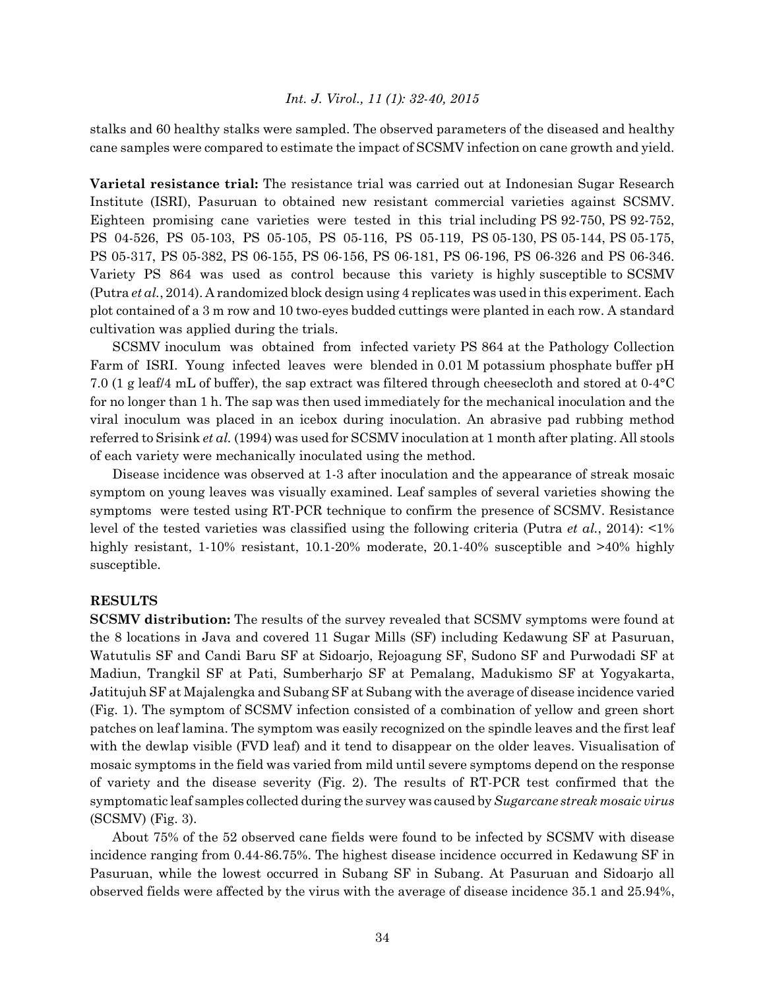stalks and 60 healthy stalks were sampled. The observed parameters of the diseased and healthy cane samples were compared to estimate the impact of SCSMV infection on cane growth and yield.

**Varietal resistance trial:** The resistance trial was carried out at Indonesian Sugar Research Institute (ISRI), Pasuruan to obtained new resistant commercial varieties against SCSMV. Eighteen promising cane varieties were tested in this trial including PS 92-750, PS 92-752, PS 04-526, PS 05-103, PS 05-105, PS 05-116, PS 05-119, PS 05-130, PS 05-144, PS 05-175, PS 05-317, PS 05-382, PS 06-155, PS 06-156, PS 06-181, PS 06-196, PS 06-326 and PS 06-346. Variety PS 864 was used as control because this variety is highly susceptible to SCSMV (Putra *et al.*, 2014). A randomized block design using 4 replicates was used in this experiment. Each plot contained of a 3 m row and 10 two-eyes budded cuttings were planted in each row. A standard cultivation was applied during the trials.

SCSMV inoculum was obtained from infected variety PS 864 at the Pathology Collection Farm of ISRI. Young infected leaves were blended in 0.01 M potassium phosphate buffer pH 7.0 (1 g leaf/4 mL of buffer), the sap extract was filtered through cheesecloth and stored at 0-4°C for no longer than 1 h. The sap was then used immediately for the mechanical inoculation and the viral inoculum was placed in an icebox during inoculation. An abrasive pad rubbing method referred to Srisink *et al.* (1994) was used for SCSMV inoculation at 1 month after plating. All stools of each variety were mechanically inoculated using the method.

Disease incidence was observed at 1-3 after inoculation and the appearance of streak mosaic symptom on young leaves was visually examined. Leaf samples of several varieties showing the symptoms were tested using RT-PCR technique to confirm the presence of SCSMV. Resistance level of the tested varieties was classified using the following criteria (Putra *et al.*, 2014): <1% highly resistant, 1-10% resistant, 10.1-20% moderate, 20.1-40% susceptible and  $>40\%$  highly susceptible.

## **RESULTS**

**SCSMV distribution:** The results of the survey revealed that SCSMV symptoms were found at the 8 locations in Java and covered 11 Sugar Mills (SF) including Kedawung SF at Pasuruan, Watutulis SF and Candi Baru SF at Sidoarjo, Rejoagung SF, Sudono SF and Purwodadi SF at Madiun, Trangkil SF at Pati, Sumberharjo SF at Pemalang, Madukismo SF at Yogyakarta, Jatitujuh SF at Majalengka and Subang SF at Subang with the average of disease incidence varied (Fig. 1). The symptom of SCSMV infection consisted of a combination of yellow and green short patches on leaf lamina. The symptom was easily recognized on the spindle leaves and the first leaf with the dewlap visible (FVD leaf) and it tend to disappear on the older leaves. Visualisation of mosaic symptoms in the field was varied from mild until severe symptoms depend on the response of variety and the disease severity (Fig. 2). The results of RT-PCR test confirmed that the symptomatic leaf samples collected during the survey was caused by *Sugarcane streak mosaic virus* (SCSMV) (Fig. 3).

About 75% of the 52 observed cane fields were found to be infected by SCSMV with disease incidence ranging from 0.44-86.75%. The highest disease incidence occurred in Kedawung SF in Pasuruan, while the lowest occurred in Subang SF in Subang. At Pasuruan and Sidoarjo all observed fields were affected by the virus with the average of disease incidence 35.1 and 25.94%,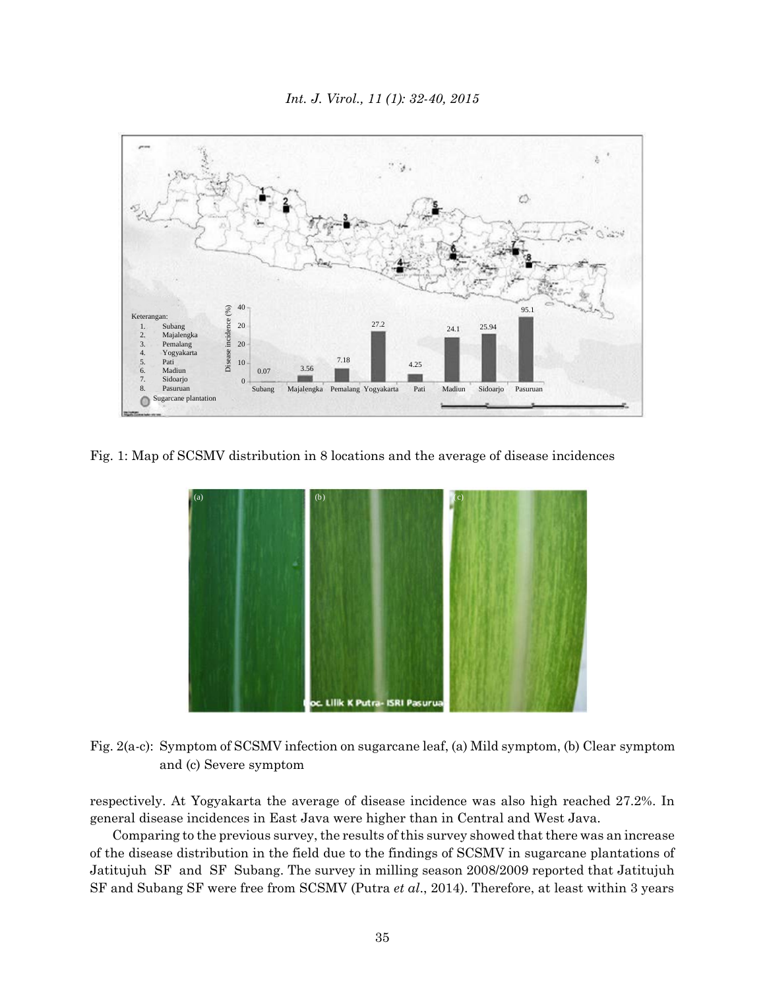

Fig. 1: Map of SCSMV distribution in 8 locations and the average of disease incidences



Fig. 2(a-c): Symptom of SCSMV infection on sugarcane leaf, (a) Mild symptom, (b) Clear symptom and (c) Severe symptom

respectively. At Yogyakarta the average of disease incidence was also high reached 27.2%. In general disease incidences in East Java were higher than in Central and West Java.

Comparing to the previous survey, the results of this survey showed that there was an increase of the disease distribution in the field due to the findings of SCSMV in sugarcane plantations of Jatitujuh SF and SF Subang. The survey in milling season 2008/2009 reported that Jatitujuh SF and Subang SF were free from SCSMV (Putra *et al*., 2014). Therefore, at least within 3 years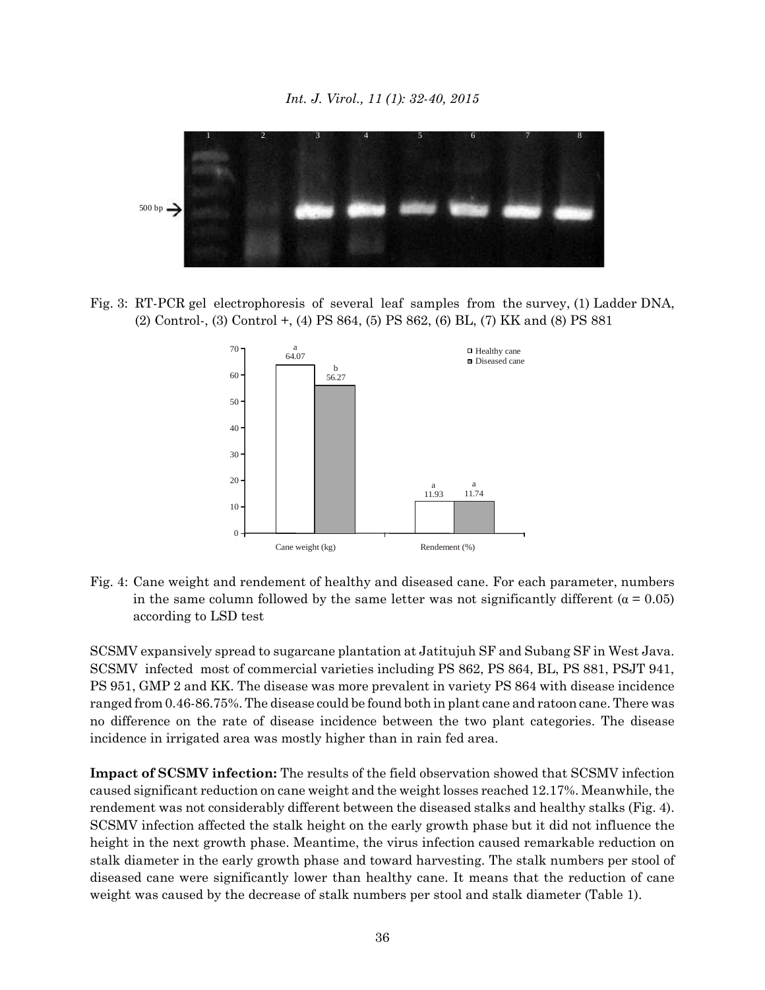

Fig. 3: RT-PCR gel electrophoresis of several leaf samples from the survey, (1) Ladder DNA, (2) Control-, (3) Control +, (4) PS 864, (5) PS 862, (6) BL, (7) KK and (8) PS 881



Fig. 4: Cane weight and rendement of healthy and diseased cane. For each parameter, numbers in the same column followed by the same letter was not significantly different ( $\alpha = 0.05$ ) according to LSD test

SCSMV expansively spread to sugarcane plantation at Jatitujuh SF and Subang SF in West Java. SCSMV infected most of commercial varieties including PS 862, PS 864, BL, PS 881, PSJT 941, PS 951, GMP 2 and KK. The disease was more prevalent in variety PS 864 with disease incidence ranged from 0.46-86.75%. The disease could be found both in plant cane and ratoon cane. There was no difference on the rate of disease incidence between the two plant categories. The disease incidence in irrigated area was mostly higher than in rain fed area.

**Impact of SCSMV infection:** The results of the field observation showed that SCSMV infection caused significant reduction on cane weight and the weight losses reached 12.17%. Meanwhile, the rendement was not considerably different between the diseased stalks and healthy stalks (Fig. 4). SCSMV infection affected the stalk height on the early growth phase but it did not influence the height in the next growth phase. Meantime, the virus infection caused remarkable reduction on stalk diameter in the early growth phase and toward harvesting. The stalk numbers per stool of diseased cane were significantly lower than healthy cane. It means that the reduction of cane weight was caused by the decrease of stalk numbers per stool and stalk diameter (Table 1).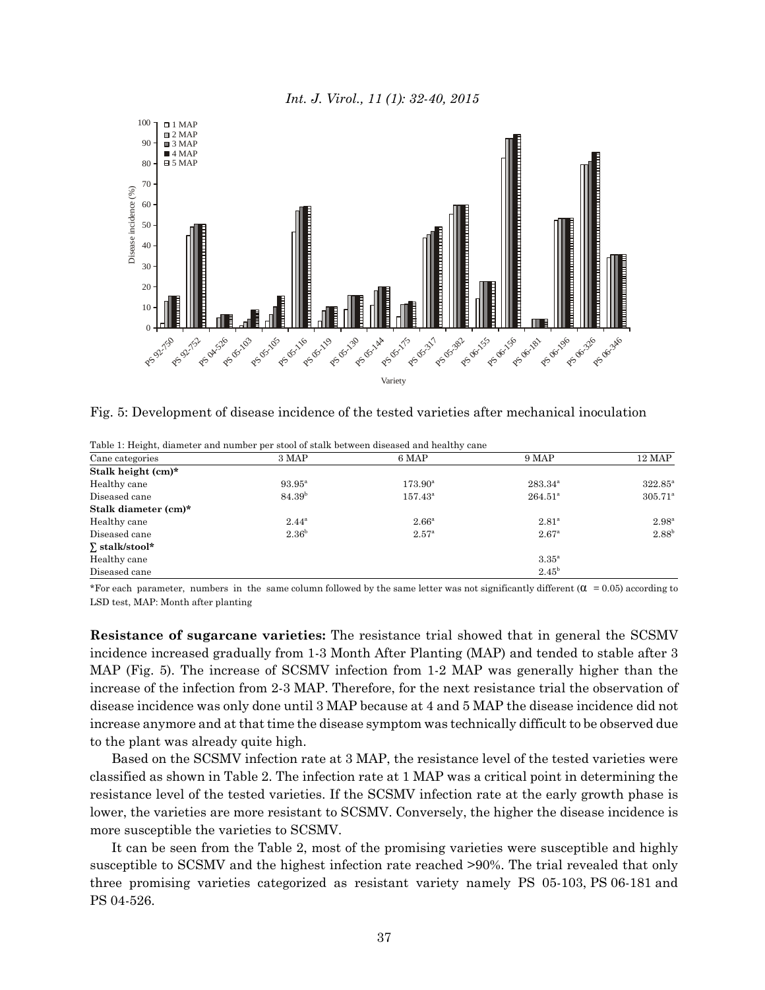



Fig. 5: Development of disease incidence of the tested varieties after mechanical inoculation

| Cane categories       | 3 MAP              | 6 MAP             | 9 MAP               | 12 MAP           |
|-----------------------|--------------------|-------------------|---------------------|------------------|
| Stalk height (cm)*    |                    |                   |                     |                  |
| Healthy cane          | $93.95^{\rm a}$    | $173.90^{\circ}$  | $283.34^{\circ}$    | $322.85^{\circ}$ |
| Diseased cane         | 84.39 <sup>b</sup> | $157.43^{\circ}$  | $264.51^{\rm a}$    | $305.71^{\circ}$ |
| Stalk diameter (cm)*  |                    |                   |                     |                  |
| Healthy cane          | $2.44^{\rm a}$     | 2.66 <sup>a</sup> | $2.81^{\circ}$      | $2.98^{\rm a}$   |
| Diseased cane         | 2.36 <sup>b</sup>  | $2.57^{\circ}$    | $2.67^{\rm a}$      | $2.88^{b}$       |
| $\Sigma$ stalk/stool* |                    |                   |                     |                  |
| Healthy cane          |                    |                   | $3.35^{\mathrm{a}}$ |                  |
| Diseased cane         |                    |                   | $2.45^{\rm b}$      |                  |

Table 1: Height, diameter and number per stool of stalk between diseased and healthy cane

\*For each parameter, numbers in the same column followed by the same letter was not significantly different  $(\alpha = 0.05)$  according to LSD test, MAP: Month after planting

**Resistance of sugarcane varieties:** The resistance trial showed that in general the SCSMV incidence increased gradually from 1-3 Month After Planting (MAP) and tended to stable after 3 MAP (Fig. 5). The increase of SCSMV infection from 1-2 MAP was generally higher than the increase of the infection from 2-3 MAP. Therefore, for the next resistance trial the observation of disease incidence was only done until 3 MAP because at 4 and 5 MAP the disease incidence did not increase anymore and at that time the disease symptom was technically difficult to be observed due to the plant was already quite high.

Based on the SCSMV infection rate at 3 MAP, the resistance level of the tested varieties were classified as shown in Table 2. The infection rate at 1 MAP was a critical point in determining the resistance level of the tested varieties. If the SCSMV infection rate at the early growth phase is lower, the varieties are more resistant to SCSMV. Conversely, the higher the disease incidence is more susceptible the varieties to SCSMV.

It can be seen from the Table 2, most of the promising varieties were susceptible and highly susceptible to SCSMV and the highest infection rate reached >90%. The trial revealed that only three promising varieties categorized as resistant variety namely PS 05-103, PS 06-181 and PS 04-526.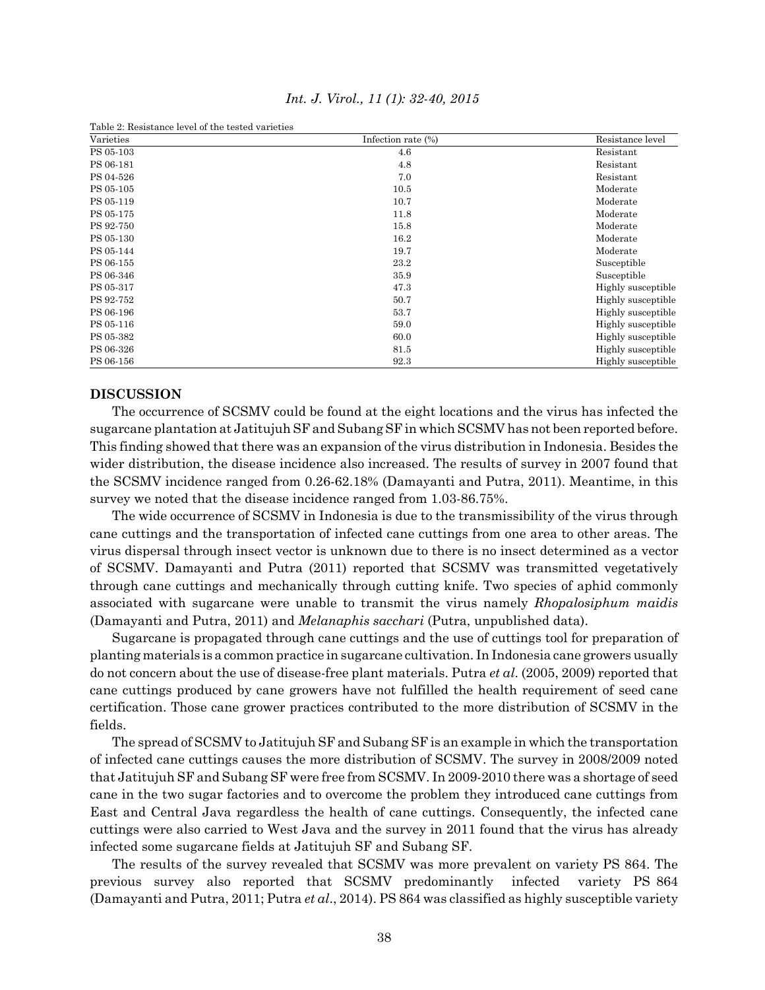| Table 2: Resistance level of the tested varieties |                    |                    |  |  |
|---------------------------------------------------|--------------------|--------------------|--|--|
| Varieties                                         | Infection rate (%) | Resistance level   |  |  |
| PS 05-103                                         | 4.6                | Resistant          |  |  |
| PS 06-181                                         | 4.8                | Resistant          |  |  |
| PS 04-526                                         | 7.0                | Resistant          |  |  |
| PS 05-105                                         | 10.5               | Moderate           |  |  |
| PS 05-119                                         | 10.7               | Moderate           |  |  |
| PS 05-175                                         | 11.8               | Moderate           |  |  |
| PS 92-750                                         | 15.8               | Moderate           |  |  |
| PS 05-130                                         | 16.2               | Moderate           |  |  |
| PS 05-144                                         | 19.7               | Moderate           |  |  |
| PS 06-155                                         | 23.2               | Susceptible        |  |  |
| PS 06-346                                         | 35.9               | Susceptible        |  |  |
| PS 05-317                                         | 47.3               | Highly susceptible |  |  |
| PS 92-752                                         | 50.7               | Highly susceptible |  |  |
| PS 06-196                                         | 53.7               | Highly susceptible |  |  |
| PS 05-116                                         | 59.0               | Highly susceptible |  |  |
| PS 05-382                                         | 60.0               | Highly susceptible |  |  |
| PS 06-326                                         | 81.5               | Highly susceptible |  |  |
| PS 06-156                                         | 92.3               | Highly susceptible |  |  |

*Int. J. Virol., 11 (1): 32-40, 2015*

## **DISCUSSION**

The occurrence of SCSMV could be found at the eight locations and the virus has infected the sugarcane plantation at Jatitujuh SF and Subang SF in which SCSMV has not been reported before. This finding showed that there was an expansion of the virus distribution in Indonesia. Besides the wider distribution, the disease incidence also increased. The results of survey in 2007 found that the SCSMV incidence ranged from 0.26-62.18% (Damayanti and Putra, 2011). Meantime, in this survey we noted that the disease incidence ranged from 1.03-86.75%.

The wide occurrence of SCSMV in Indonesia is due to the transmissibility of the virus through cane cuttings and the transportation of infected cane cuttings from one area to other areas. The virus dispersal through insect vector is unknown due to there is no insect determined as a vector of SCSMV. Damayanti and Putra (2011) reported that SCSMV was transmitted vegetatively through cane cuttings and mechanically through cutting knife. Two species of aphid commonly associated with sugarcane were unable to transmit the virus namely *Rhopalosiphum maidis* (Damayanti and Putra, 2011) and *Melanaphis sacchari* (Putra, unpublished data).

Sugarcane is propagated through cane cuttings and the use of cuttings tool for preparation of planting materials is a common practice in sugarcane cultivation. In Indonesia cane growers usually do not concern about the use of disease-free plant materials. Putra *et al*. (2005, 2009) reported that cane cuttings produced by cane growers have not fulfilled the health requirement of seed cane certification. Those cane grower practices contributed to the more distribution of SCSMV in the fields.

The spread of SCSMV to Jatitujuh SF and Subang SF is an example in which the transportation of infected cane cuttings causes the more distribution of SCSMV. The survey in 2008/2009 noted that Jatitujuh SF and Subang SF were free from SCSMV. In 2009-2010 there was a shortage of seed cane in the two sugar factories and to overcome the problem they introduced cane cuttings from East and Central Java regardless the health of cane cuttings. Consequently, the infected cane cuttings were also carried to West Java and the survey in 2011 found that the virus has already infected some sugarcane fields at Jatitujuh SF and Subang SF.

The results of the survey revealed that SCSMV was more prevalent on variety PS 864. The previous survey also reported that SCSMV predominantly infected variety PS 864 (Damayanti and Putra, 2011; Putra *et al*., 2014). PS 864 was classified as highly susceptible variety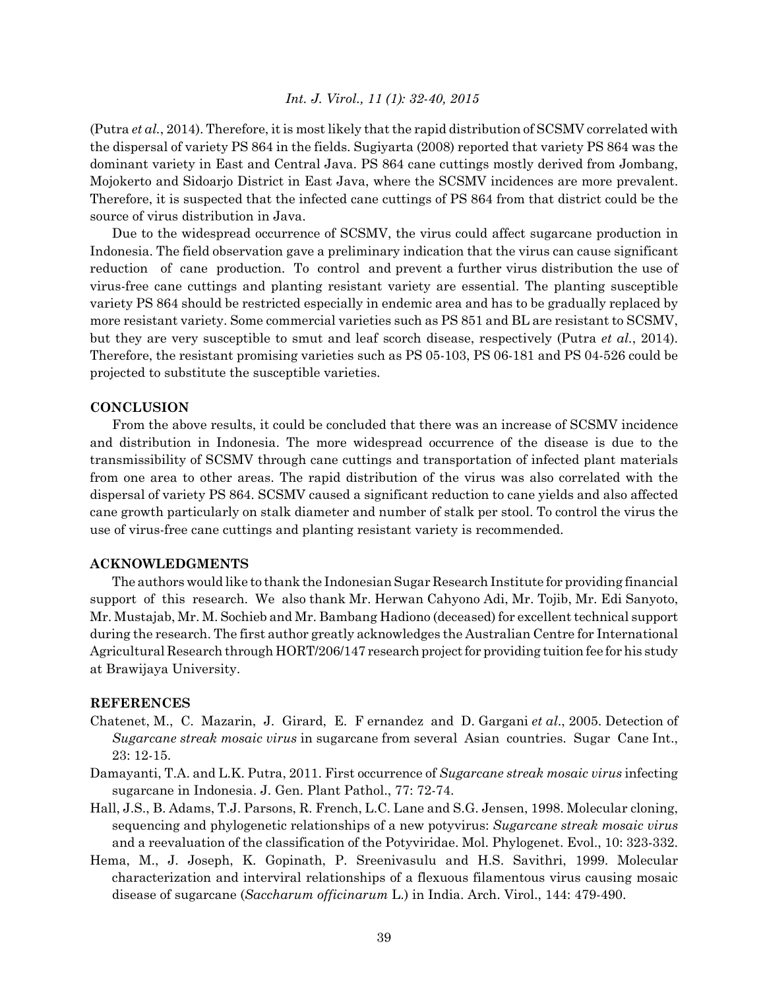(Putra *et al.*, 2014). Therefore, it is most likely that the rapid distribution of SCSMV correlated with the dispersal of variety PS 864 in the fields. Sugiyarta (2008) reported that variety PS 864 was the dominant variety in East and Central Java. PS 864 cane cuttings mostly derived from Jombang, Mojokerto and Sidoarjo District in East Java, where the SCSMV incidences are more prevalent. Therefore, it is suspected that the infected cane cuttings of PS 864 from that district could be the source of virus distribution in Java.

Due to the widespread occurrence of SCSMV, the virus could affect sugarcane production in Indonesia. The field observation gave a preliminary indication that the virus can cause significant reduction of cane production. To control and prevent a further virus distribution the use of virus-free cane cuttings and planting resistant variety are essential. The planting susceptible variety PS 864 should be restricted especially in endemic area and has to be gradually replaced by more resistant variety. Some commercial varieties such as PS 851 and BL are resistant to SCSMV, but they are very susceptible to smut and leaf scorch disease, respectively (Putra *et al.*, 2014). Therefore, the resistant promising varieties such as PS 05-103, PS 06-181 and PS 04-526 could be projected to substitute the susceptible varieties.

#### **CONCLUSION**

From the above results, it could be concluded that there was an increase of SCSMV incidence and distribution in Indonesia. The more widespread occurrence of the disease is due to the transmissibility of SCSMV through cane cuttings and transportation of infected plant materials from one area to other areas. The rapid distribution of the virus was also correlated with the dispersal of variety PS 864. SCSMV caused a significant reduction to cane yields and also affected cane growth particularly on stalk diameter and number of stalk per stool. To control the virus the use of virus-free cane cuttings and planting resistant variety is recommended.

## **ACKNOWLEDGMENTS**

The authors would like to thank the Indonesian Sugar Research Institute for providing financial support of this research. We also thank Mr. Herwan Cahyono Adi, Mr. Tojib, Mr. Edi Sanyoto, Mr. Mustajab, Mr. M. Sochieb and Mr. Bambang Hadiono (deceased) for excellent technical support during the research. The first author greatly acknowledges the Australian Centre for International Agricultural Research through HORT/206/147 research project for providing tuition fee for his study at Brawijaya University.

## **REFERENCES**

- Chatenet, M., C. Mazarin, J. Girard, E. F ernandez and D. Gargani *et al*., 2005. Detection of *Sugarcane streak mosaic virus* in sugarcane from several Asian countries. Sugar Cane Int., 23: 12-15.
- Damayanti, T.A. and L.K. Putra, 2011. First occurrence of *Sugarcane streak mosaic virus* infecting sugarcane in Indonesia. J. Gen. Plant Pathol., 77: 72-74.
- Hall, J.S., B. Adams, T.J. Parsons, R. French, L.C. Lane and S.G. Jensen, 1998. Molecular cloning, sequencing and phylogenetic relationships of a new potyvirus: *Sugarcane streak mosaic virus* and a reevaluation of the classification of the Potyviridae. Mol. Phylogenet. Evol., 10: 323-332.
- Hema, M., J. Joseph, K. Gopinath, P. Sreenivasulu and H.S. Savithri, 1999. Molecular characterization and interviral relationships of a flexuous filamentous virus causing mosaic disease of sugarcane (*Saccharum officinarum* L.) in India. Arch. Virol., 144: 479-490.